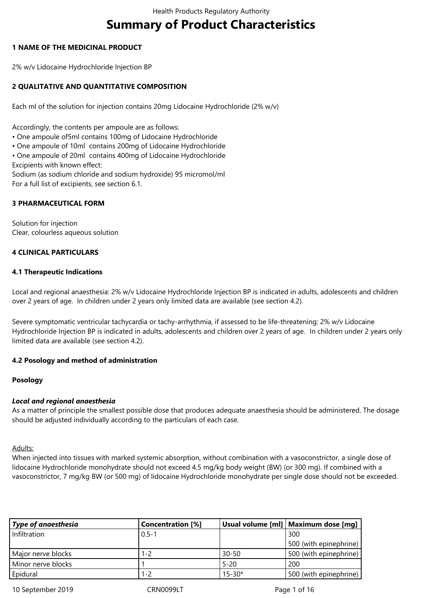# **Summary of Product Characteristics**

## **1 NAME OF THE MEDICINAL PRODUCT**

2% w/v Lidocaine Hydrochloride Injection BP

## **2 QUALITATIVE AND QUANTITATIVE COMPOSITION**

Each ml of the solution for injection contains 20mg Lidocaine Hydrochloride (2% w/v)

Accordingly, the contents per ampoule are as follows:

- One ampoule of5ml contains 100mg of Lidocaine Hydrochloride
- One ampoule of 10ml contains 200mg of Lidocaine Hydrochloride
- One ampoule of 20ml contains 400mg of Lidocaine Hydrochloride Excipients with known effect:

Sodium (as sodium chloride and sodium hydroxide) 95 micromol/ml For a full list of excipients, see section 6.1.

## **3 PHARMACEUTICAL FORM**

Solution for injection Clear, colourless aqueous solution

## **4 CLINICAL PARTICULARS**

## **4.1 Therapeutic Indications**

Local and regional anaesthesia: 2% w/v Lidocaine Hydrochloride Injection BP is indicated in adults, adolescents and children over 2 years of age. In children under 2 years only limited data are available (see section 4.2).

Severe symptomatic ventricular tachycardia or tachy-arrhythmia, if assessed to be life-threatening: 2% w/v Lidocaine Hydrochloride Injection BP is indicated in adults, adolescents and children over 2 years of age. In children under 2 years only limited data are available (see section 4.2).

## **4.2 Posology and method of administration**

#### **Posology**

#### *Local and regional anaesthesia*

As a matter of principle the smallest possible dose that produces adequate anaesthesia should be administered. The dosage should be adjusted individually according to the particulars of each case.

Adults:

When injected into tissues with marked systemic absorption, without combination with a vasoconstrictor, a single dose of lidocaine Hydrochloride monohydrate should not exceed 4.5 mg/kg body weight (BW) (or 300 mg). If combined with a vasoconstrictor, 7 mg/kg BW (or 500 mg) of lidocaine Hydrochloride monohydrate per single dose should not be exceeded.

| Type of anaesthesia | <b>Concentration</b> [%] |            | Usual volume [ml]   Maximum dose [mg] |
|---------------------|--------------------------|------------|---------------------------------------|
| Infiltration        | $0.5 - 1$                |            | 300                                   |
|                     |                          |            | 500 (with epinephrine)                |
| Major nerve blocks  | 1-2                      | $30 - 50$  | 500 (with epinephrine)                |
| Minor nerve blocks  |                          | $5 - 20$   | 200                                   |
| Epidural            | 1-2                      | $15 - 30*$ | 500 (with epinephrine)                |

10 September 2019 **CRN0099LT** CRN0099LT Page 1 of 16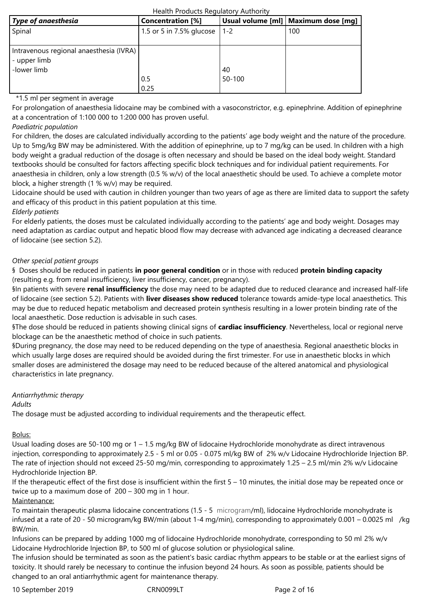| Type of anaesthesia                     | <b>Concentration</b> [%]     |            | Usual volume [ml]   Maximum dose [mg] |
|-----------------------------------------|------------------------------|------------|---------------------------------------|
| Spinal                                  | 1.5 or 5 in 7.5% glucose 1-2 |            | 100                                   |
|                                         |                              |            |                                       |
| Intravenous regional anaesthesia (IVRA) |                              |            |                                       |
| - upper limb                            |                              |            |                                       |
| -lower limb                             |                              | 40         |                                       |
|                                         | 0.5                          | $50 - 100$ |                                       |
|                                         | 0.25                         |            |                                       |

### \*1.5 ml per segment in average

For prolongation of anaesthesia lidocaine may be combined with a vasoconstrictor, e.g. epinephrine. Addition of epinephrine at a concentration of 1:100 000 to 1:200 000 has proven useful.

## *Paediatric population*

For children, the doses are calculated individually according to the patients' age body weight and the nature of the procedure. Up to 5mg/kg BW may be administered. With the addition of epinephrine, up to 7 mg/kg can be used. In children with a high body weight a gradual reduction of the dosage is often necessary and should be based on the ideal body weight. Standard textbooks should be consulted for factors affecting specific block techniques and for individual patient requirements. For anaesthesia in children, only a low strength (0.5 % w/v) of the local anaesthetic should be used. To achieve a complete motor block, a higher strength (1 % w/v) may be required.

Lidocaine should be used with caution in children younger than two years of age as there are limited data to support the safety and efficacy of this product in this patient population at this time.

#### *Elderly patients*

For elderly patients, the doses must be calculated individually according to the patients' age and body weight. Dosages may need adaptation as cardiac output and hepatic blood flow may decrease with advanced age indicating a decreased clearance of lidocaine (see section 5.2).

## *Other special patient groups*

§ Doses should be reduced in patients **in poor general condition** or in those with reduced **protein binding capacity** (resulting e.g. from renal insufficiency, liver insufficiency, cancer, pregnancy).

§In patients with severe **renal insufficiency** the dose may need to be adapted due to reduced clearance and increased half-life of lidocaine (see section 5.2). Patients with **liver diseases show reduced** tolerance towards amide-type local anaesthetics. This may be due to reduced hepatic metabolism and decreased protein synthesis resulting in a lower protein binding rate of the local anaesthetic. Dose reduction is advisable in such cases.

§The dose should be reduced in patients showing clinical signs of **cardiac insufficiency**. Nevertheless, local or regional nerve blockage can be the anaesthetic method of choice in such patients.

§During pregnancy, the dose may need to be reduced depending on the type of anaesthesia. Regional anaesthetic blocks in which usually large doses are required should be avoided during the first trimester. For use in anaesthetic blocks in which smaller doses are administered the dosage may need to be reduced because of the altered anatomical and physiological characteristics in late pregnancy.

#### *Antiarrhythmic therapy*

#### *Adults*

The dosage must be adjusted according to individual requirements and the therapeutic effect.

Bolus:

Usual loading doses are 50-100 mg or 1 – 1.5 mg/kg BW of lidocaine Hydrochloride monohydrate as direct intravenous injection, corresponding to approximately 2.5 - 5 ml or 0.05 ‑ 0.075 ml/kg BW of 2% w/v Lidocaine Hydrochloride Injection BP. The rate of injection should not exceed 25-50 mg/min, corresponding to approximately 1.25 – 2.5 ml/min 2% w/v Lidocaine Hydrochloride Injection BP.

If the therapeutic effect of the first dose is insufficient within the first 5 – 10 minutes, the initial dose may be repeated once or twice up to a maximum dose of 200 – 300 mg in 1 hour.

#### Maintenance:

To maintain therapeutic plasma lidocaine concentrations (1.5 ‑ 5 microgram/ml), lidocaine Hydrochloride monohydrate is infused at a rate of 20 ‑ 50 microgram/kg BW/min (about 1-4 mg/min), corresponding to approximately 0.001 – 0.0025 ml /kg BW/min.

Infusions can be prepared by adding 1000 mg of lidocaine Hydrochloride monohydrate, corresponding to 50 ml 2% w/v Lidocaine Hydrochloride Injection BP, to 500 ml of glucose solution or physiological saline.

The infusion should be terminated as soon as the patient's basic cardiac rhythm appears to be stable or at the earliest signs of toxicity. It should rarely be necessary to continue the infusion beyond 24 hours. As soon as possible, patients should be changed to an oral antiarrhythmic agent for maintenance therapy.

10 September 2019 CRN0099LT Page 2 of 16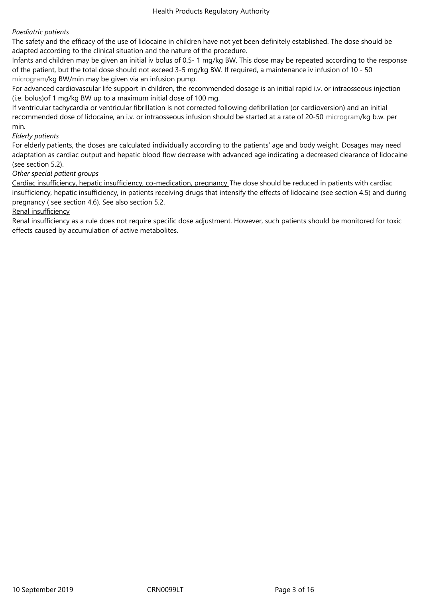## *Paediatric patients*

The safety and the efficacy of the use of lidocaine in children have not yet been definitely established. The dose should be adapted according to the clinical situation and the nature of the procedure.

Infants and children may be given an initial iv bolus of 0.5- 1 mg/kg BW. This dose may be repeated according to the response of the patient, but the total dose should not exceed 3-5 mg/kg BW. If required, a maintenance iv infusion of 10 ‑ 50 microgram/kg BW/min may be given via an infusion pump.

For advanced cardiovascular life support in children, the recommended dosage is an initial rapid i.v. or intraosseous injection (i.e. bolus)of 1 mg/kg BW up to a maximum initial dose of 100 mg.

If ventricular tachycardia or ventricular fibrillation is not corrected following defibrillation (or cardioversion) and an initial recommended dose of lidocaine, an i.v. or intraosseous infusion should be started at a rate of 20-50 microgram/kg b.w. per min.

## *Elderly patients*

For elderly patients, the doses are calculated individually according to the patients' age and body weight. Dosages may need adaptation as cardiac output and hepatic blood flow decrease with advanced age indicating a decreased clearance of lidocaine (see section 5.2).

## *Other special patient groups*

Cardiac insufficiency, hepatic insufficiency, co-medication, pregnancy The dose should be reduced in patients with cardiac insufficiency, hepatic insufficiency, in patients receiving drugs that intensify the effects of lidocaine (see section 4.5) and during pregnancy ( see section 4.6). See also section 5.2.

## Renal insufficiency

Renal insufficiency as a rule does not require specific dose adjustment. However, such patients should be monitored for toxic effects caused by accumulation of active metabolites.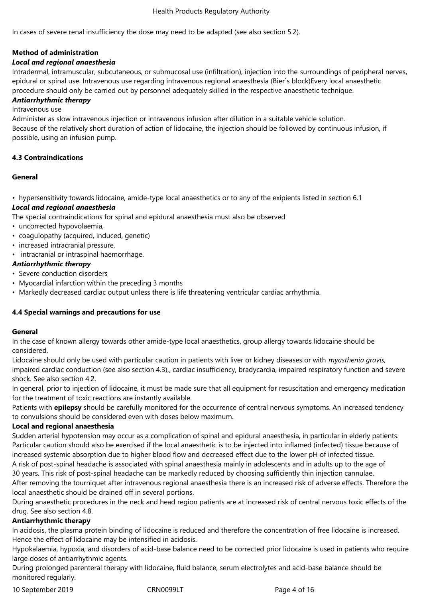In cases of severe renal insufficiency the dose may need to be adapted (see also section 5.2).

## **Method of administration**

### *Local and regional anaesthesia*

Intradermal, intramuscular, subcutaneous, or submucosal use (infiltration), injection into the surroundings of peripheral nerves, epidural or spinal use. Intravenous use regarding intravenous regional anaesthesia (Bier`s block)Every local anaesthetic procedure should only be carried out by personnel adequately skilled in the respective anaesthetic technique.

## *Antiarrhythmic therapy*

Intravenous use

Administer as slow intravenous injection or intravenous infusion after dilution in a suitable vehicle solution. Because of the relatively short duration of action of lidocaine, the injection should be followed by continuous infusion, if possible, using an infusion pump.

#### **4.3 Contraindications**

#### **General**

• hypersensitivity towards lidocaine, amide-type local anaesthetics or to any of the exipients listed in section 6.1

## *Local and regional anaesthesia*

The special contraindications for spinal and epidural anaesthesia must also be observed

- uncorrected hypovolaemia,
- coagulopathy (acquired, induced, genetic)
- increased intracranial pressure,
- intracranial or intraspinal haemorrhage.

## *Antiarrhythmic therapy*

- Severe conduction disorders
- Myocardial infarction within the preceding 3 months
- Markedly decreased cardiac output unless there is life threatening ventricular cardiac arrhythmia.

#### **4.4 Special warnings and precautions for use**

#### **General**

In the case of known allergy towards other amide-type local anaesthetics, group allergy towards lidocaine should be considered.

Lidocaine should only be used with particular caution in patients with liver or kidney diseases or with *myasthenia gravis,* impaired cardiac conduction (see also section 4.3),, cardiac insufficiency, bradycardia, impaired respiratory function and severe shock*.* See also section 4.2.

In general, prior to injection of lidocaine, it must be made sure that all equipment for resuscitation and emergency medication for the treatment of toxic reactions are instantly available.

Patients with **epilepsy** should be carefully monitored for the occurrence of central nervous symptoms. An increased tendency to convulsions should be considered even with doses below maximum.

#### **Local and regional anaesthesia**

Sudden arterial hypotension may occur as a complication of spinal and epidural anaesthesia, in particular in elderly patients. Particular caution should also be exercised if the local anaesthetic is to be injected into inflamed (infected) tissue because of increased systemic absorption due to higher blood flow and decreased effect due to the lower pH of infected tissue. A risk of post-spinal headache is associated with spinal anaesthesia mainly in adolescents and in adults up to the age of

30 years. This risk of post-spinal headache can be markedly reduced by choosing sufficiently thin injection cannulae. After removing the tourniquet after intravenous regional anaesthesia there is an increased risk of adverse effects. Therefore the local anaesthetic should be drained off in several portions.

During anaesthetic procedures in the neck and head region patients are at increased risk of central nervous toxic effects of the drug. See also section 4.8.

#### **Antiarrhythmic therapy**

In acidosis, the plasma protein binding of lidocaine is reduced and therefore the concentration of free lidocaine is increased. Hence the effect of lidocaine may be intensified in acidosis.

Hypokalaemia, hypoxia, and disorders of acid-base balance need to be corrected prior lidocaine is used in patients who require large doses of antiarrhythmic agents.

During prolonged parenteral therapy with lidocaine, fluid balance, serum electrolytes and acid-base balance should be monitored regularly.

10 September 2019 CRN0099LT Page 4 of 16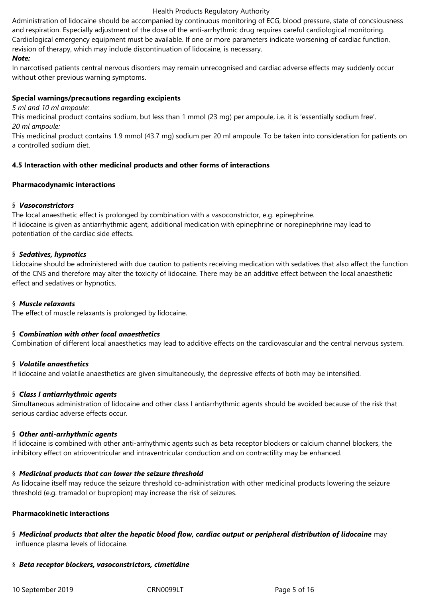Administration of lidocaine should be accompanied by continuous monitoring of ECG, blood pressure, state of concsiousness and respiration. Especially adjustment of the dose of the anti-arrhythmic drug requires careful cardiological monitoring. Cardiological emergency equipment must be available. If one or more parameters indicate worsening of cardiac function, revision of therapy, which may include discontinuation of lidocaine, is necessary.

## *Note:*

In narcotised patients central nervous disorders may remain unrecognised and cardiac adverse effects may suddenly occur without other previous warning symptoms.

### **Special warnings/precautions regarding excipients**

*5 ml and 10 ml ampoule:*

This medicinal product contains sodium, but less than 1 mmol (23 mg) per ampoule, i.e. it is 'essentially sodium free'. *20 ml ampoule:*

This medicinal product contains 1.9 mmol (43.7 mg) sodium per 20 ml ampoule. To be taken into consideration for patients on a controlled sodium diet.

## **4.5 Interaction with other medicinal products and other forms of interactions**

#### **Pharmacodynamic interactions**

## § *Vasoconstrictors*

The local anaesthetic effect is prolonged by combination with a vasoconstrictor, e.g. epinephrine. If lidocaine is given as antiarrhythmic agent, additional medication with epinephrine or norepinephrine may lead to potentiation of the cardiac side effects.

## § *Sedatives, hypnotics*

Lidocaine should be administered with due caution to patients receiving medication with sedatives that also affect the function of the CNS and therefore may alter the toxicity of lidocaine. There may be an additive effect between the local anaesthetic effect and sedatives or hypnotics.

#### § *Muscle relaxants*

The effect of muscle relaxants is prolonged by lidocaine.

#### § *Combination with other local anaesthetics*

Combination of different local anaesthetics may lead to additive effects on the cardiovascular and the central nervous system.

#### § *Volatile anaesthetics*

If lidocaine and volatile anaesthetics are given simultaneously, the depressive effects of both may be intensified.

#### § *Class I antiarrhythmic agents*

Simultaneous administration of lidocaine and other class I antiarrhythmic agents should be avoided because of the risk that serious cardiac adverse effects occur.

#### § *Other anti-arrhythmic agents*

If lidocaine is combined with other anti-arrhythmic agents such as beta receptor blockers or calcium channel blockers, the inhibitory effect on atrioventricular and intraventricular conduction and on contractility may be enhanced.

#### § *Medicinal products that can lower the seizure threshold*

As lidocaine itself may reduce the seizure threshold co-administration with other medicinal products lowering the seizure threshold (e.g. tramadol or bupropion) may increase the risk of seizures.

## **Pharmacokinetic interactions**

§ *Medicinal products that alter the hepatic blood flow, cardiac output or peripheral distribution of lidocaine* may influence plasma levels of lidocaine.

#### § *Beta receptor blockers, vasoconstrictors, cimetidine*

10 September 2019 CRN0099LT Page 5 of 16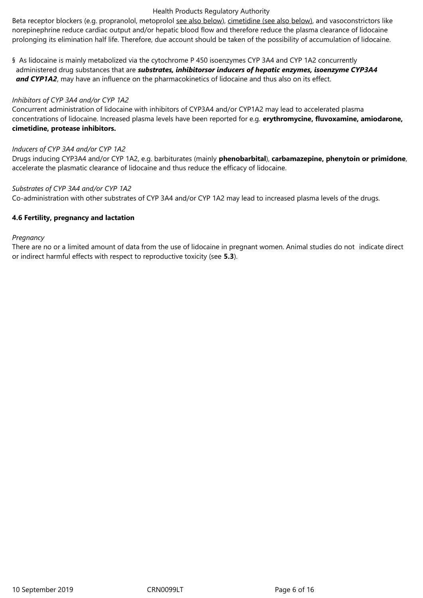Beta receptor blockers (e.g. propranolol, metoprolol see also below), cimetidine (see also below), and vasoconstrictors like norepinephrine reduce cardiac output and/or hepatic blood flow and therefore reduce the plasma clearance of lidocaine prolonging its elimination half life. Therefore, due account should be taken of the possibility of accumulation of lidocaine.

§ As lidocaine is mainly metabolized via the cytochrome P 450 isoenzymes CYP 3A4 and CYP 1A2 concurrently administered drug substances that are *substrates, inhibitorsor inducers of hepatic enzymes, isoenzyme CYP3A4 and CYP1A2*, may have an influence on the pharmacokinetics of lidocaine and thus also on its effect.

### *Inhibitors of CYP 3A4 and/or CYP 1A2*

Concurrent administration of lidocaine with inhibitors of CYP3A4 and/or CYP1A2 may lead to accelerated plasma concentrations of lidocaine. Increased plasma levels have been reported for e.g. **erythromycine, fluvoxamine, amiodarone, cimetidine, protease inhibitors.**

#### *Inducers of CYP 3A4 and/or CYP 1A2*

Drugs inducing CYP3A4 and/or CYP 1A2, e.g. barbiturates (mainly **phenobarbital**), **carbamazepine, phenytoin or primidone**, accelerate the plasmatic clearance of lidocaine and thus reduce the efficacy of lidocaine.

## *Substrates of CYP 3A4 and/or CYP 1A2*

Co-administration with other substrates of CYP 3A4 and/or CYP 1A2 may lead to increased plasma levels of the drugs.

## **4.6 Fertility, pregnancy and lactation**

#### *Pregnancy*

There are no or a limited amount of data from the use of lidocaine in pregnant women. Animal studies do not indicate direct or indirect harmful effects with respect to reproductive toxicity (see **5.3**).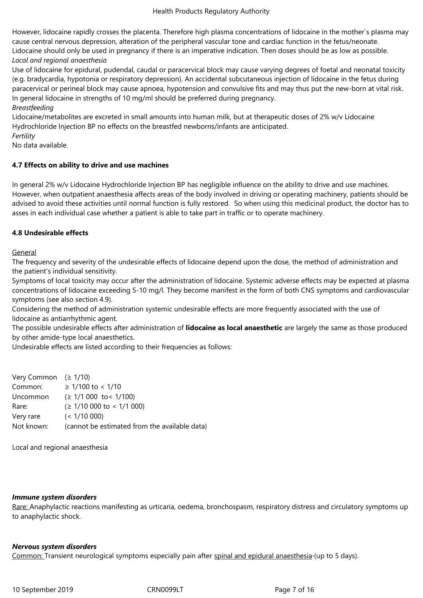However, lidocaine rapidly crosses the placenta. Therefore high plasma concentrations of lidocaine in the mother`s plasma may cause central nervous depression, alteration of the peripheral vascular tone and cardiac function in the fetus/neonate. Lidocaine should only be used in pregnancy if there is an imperative indication. Then doses should be as low as possible. *Local and regional anaesthesia*

Use of lidocaine for epidural, pudendal, caudal or paracervical block may cause varying degrees of foetal and neonatal toxicity (e.g. bradycardia, hypotonia or respiratory depression). An accidental subcutaneous injection of lidocaine in the fetus during paracervical or perineal block may cause apnoea, hypotension and convulsive fits and may thus put the new-born at vital risk. In general lidocaine in strengths of 10 mg/ml should be preferred during pregnancy.

#### *Breastfeeding*

Lidocaine/metabolites are excreted in small amounts into human milk, but at therapeutic doses of 2% w/v Lidocaine Hydrochloride Injection BP no effects on the breastfed newborns/infants are anticipated.

*Fertility*

No data available.

## **4.7 Effects on ability to drive and use machines**

In general 2% w/v Lidocaine Hydrochloride Injection BP has negligible influence on the ability to drive and use machines. However, when outpatient anaesthesia affects areas of the body involved in driving or operating machinery, patients should be advised to avoid these activities until normal function is fully restored. So when using this medicinal product, the doctor has to asses in each individual case whether a patient is able to take part in traffic or to operate machinery.

## **4.8 Undesirable effects**

General

The frequency and severity of the undesirable effects of lidocaine depend upon the dose, the method of administration and the patient's individual sensitivity.

Symptoms of local toxicity may occur after the administration of lidocaine. Systemic adverse effects may be expected at plasma concentrations of lidocaine exceeding 5-10 mg/l. They become manifest in the form of both CNS symptoms and cardiovascular symptoms (see also section 4.9).

Considering the method of administration systemic undesirable effects are more frequently associated with the use of lidocaine as antiarrhythmic agent.

The possible undesirable effects after administration of **lidocaine as local anaesthetic** are largely the same as those produced by other amide-type local anaesthetics.

Undesirable effects are listed according to their frequencies as follows:

Very Common (≥ 1/10) Common: ≥ 1/100 to < 1/10 Uncommon (≥ 1/1 000 to< 1/100) Rare: (≥ 1/10 000 to < 1/1 000) Very rare (< 1/10 000) Not known: (cannot be estimated from the available data)

Local and regional anaesthesia

## *Immune system disorders*

Rare: Anaphylactic reactions manifesting as urticaria, oedema, bronchospasm, respiratory distress and circulatory symptoms up to anaphylactic shock.

#### *Nervous system disorders*

Common: Transient neurological symptoms especially pain after spinal and epidural anaesthesia-(up to 5 days).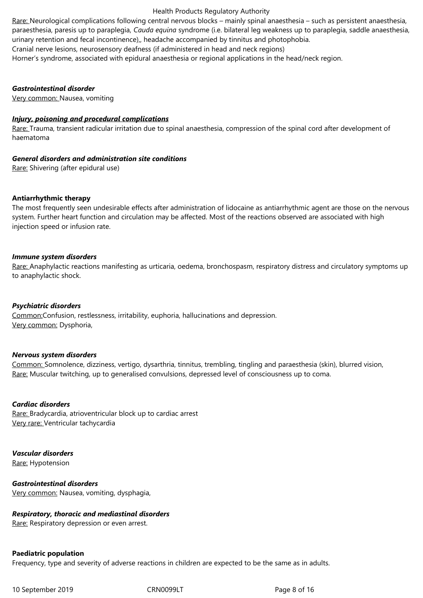urinary retention and fecal incontinence),, headache accompanied by tinnitus and photophobia. Cranial nerve lesions, neurosensory deafness (if administered in head and neck regions) Horner's syndrome, associated with epidural anaesthesia or regional applications in the head/neck region.

#### *Gastrointestinal disorder*

Very common: Nausea, vomiting

#### *Injury, poisoning and procedural complications*

Rare: Trauma, transient radicular irritation due to spinal anaesthesia, compression of the spinal cord after development of haematoma

#### *[General disorders and administration site condi](/cm/SitePages/javascript%20:%20OpenTerm()tions*

Rare: Shivering (after epidural use)

#### **Antiarrhythmic therapy**

The most frequently seen undesirable effects after administration of lidocaine as antiarrhythmic agent are those on the nervous system. Further heart function and circulation may be affected. Most of the reactions observed are associated with high injection speed or infusion rate.

#### *Immune system disorders*

Rare: Anaphylactic reactions manifesting as urticaria, oedema, bronchospasm, respiratory distress and circulatory symptoms up to anaphylactic shock.

#### *Psychiatric disorders*

Common:Confusion, restlessness, irritability, euphoria, hallucinations and depression. Very common: Dysphoria,

#### *Nervous system disorders*

Common: Somnolence, dizziness, vertigo, dysarthria, tinnitus, trembling, tingling and paraesthesia (skin), blurred vision, Rare: Muscular twitching, up to generalised convulsions, depressed level of consciousness up to coma.

#### *Cardiac disorders*

Rare: Bradycardia, atrioventricular block up to cardiac arrest Very rare: Ventricular tachycardia

#### *Vascular disorders*

Rare: Hypotension

## *Gastrointestinal disorders*

Very common: Nausea, vomiting, dysphagia,

#### *Respiratory, thoracic and mediastinal disorders*

Rare: Respiratory depression or even arrest.

#### **Paediatric population**

Frequency, type and severity of adverse reactions in children are expected to be the same as in adults.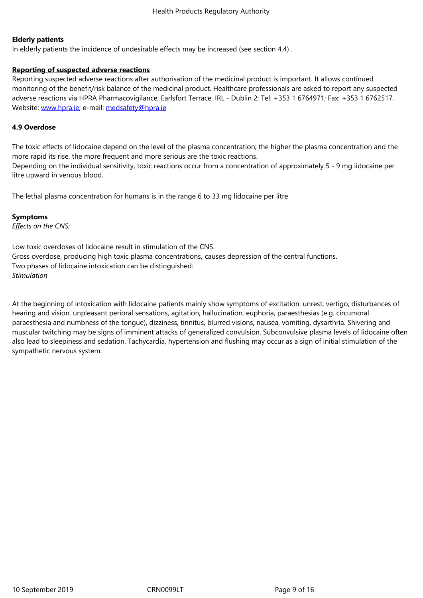#### **Elderly patients**

In elderly patients the incidence of undesirable effects may be increased (see section 4.4) .

## **Reporting of suspected adverse reactions**

Reporting suspected adverse reactions after authorisation of the medicinal product is important. It allows continued monitoring of the benefit/risk balance of the medicinal product. Healthcare professionals are asked to report any suspected adverse reactions via HPRA Pharmacovigilance, Earlsfort Terrace, IRL - Dublin 2; Tel: +353 1 6764971; Fax: +353 1 6762517. Website: www.hpra.ie; e-mail: medsafety@hpra.ie

## **4.9 Overdose**

The toxic [effects of lid](http://www.hpra.ie/)ocaine [depend on the level](mailto:medsafety@hpra.ie) of the plasma concentration; the higher the plasma concentration and the more rapid its rise, the more frequent and more serious are the toxic reactions. Depending on the individual sensitivity, toxic reactions occur from a concentration of approximately 5 ‑ 9 mg lidocaine per litre upward in venous blood.

The lethal plasma concentration for humans is in the range 6 to 33 mg lidocaine per litre

#### **Symptoms**

*Effects on the CNS:*

Low toxic overdoses of lidocaine result in stimulation of the CNS. Gross overdose, producing high toxic plasma concentrations, causes depression of the central functions. Two phases of lidocaine intoxication can be distinguished: *Stimulation*

At the beginning of intoxication with lidocaine patients mainly show symptoms of excitation: unrest, vertigo, disturbances of hearing and vision, unpleasant perioral sensations, agitation, hallucination, euphoria, paraesthesias (e.g. circumoral paraesthesia and numbness of the tongue), dizziness, tinnitus, blurred visions, nausea, vomiting, dysarthria. Shivering and muscular twitching may be signs of imminent attacks of generalized convulsion. Subconvulsive plasma levels of lidocaine often also lead to sleepiness and sedation. Tachycardia, hypertension and flushing may occur as a sign of initial stimulation of the sympathetic nervous system.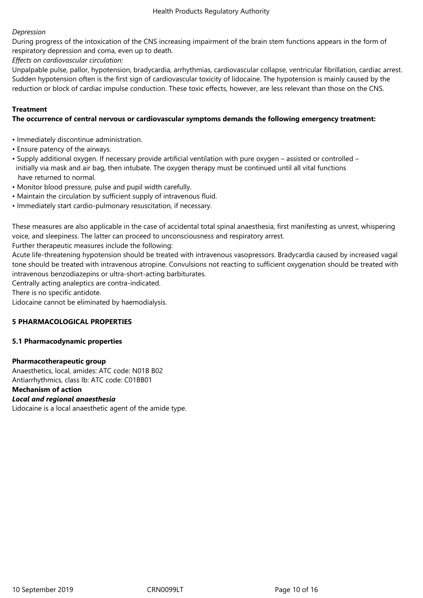## *Depression*

During progress of the intoxication of the CNS increasing impairment of the brain stem functions appears in the form of respiratory depression and coma, even up to death.

*Effects on cardiovascular circulation:*

Unpalpable pulse, pallor, hypotension, bradycardia, arrhythmias, cardiovascular collapse, ventricular fibrillation, cardiac arrest. Sudden hypotension often is the first sign of cardiovascular toxicity of lidocaine. The hypotension is mainly caused by the reduction or block of cardiac impulse conduction. These toxic effects, however, are less relevant than those on the CNS.

## **Treatment**

### **The occurrence of central nervous or cardiovascular symptoms demands the following emergency treatment:**

- Immediately discontinue administration.
- Ensure patency of the airways.
- Supply additional oxygen. If necessary provide artificial ventilation with pure oxygen assisted or controlled initially via mask and air bag, then intubate. The oxygen therapy must be continued until all vital functions have returned to normal.
- Monitor blood pressure, pulse and pupil width carefully.
- Maintain the circulation by sufficient supply of intravenous fluid.
- Immediately start cardio-pulmonary resuscitation, if necessary.

These measures are also applicable in the case of accidental total spinal anaesthesia, first manifesting as unrest, whispering voice, and sleepiness. The latter can proceed to unconsciousness and respiratory arrest.

Further therapeutic measures include the following:

Acute life-threatening hypotension should be treated with intravenous vasopressors. Bradycardia caused by increased vagal tone should be treated with intravenous atropine. Convulsions not reacting to sufficient oxygenation should be treated with intravenous benzodiazepins or ultra-short-acting barbiturates.

Centrally acting analeptics are contra-indicated.

There is no specific antidote.

Lidocaine cannot be eliminated by haemodialysis.

#### **5 PHARMACOLOGICAL PROPERTIES**

#### **5.1 Pharmacodynamic properties**

#### **Pharmacotherapeutic group**

Anaesthetics, local, amides: ATC code: N01B B02 Antiarrhythmics, class Ib: ATC code: C01BB01 **Mechanism of action**

## *Local and regional anaesthesia*

Lidocaine is a local anaesthetic agent of the amide type.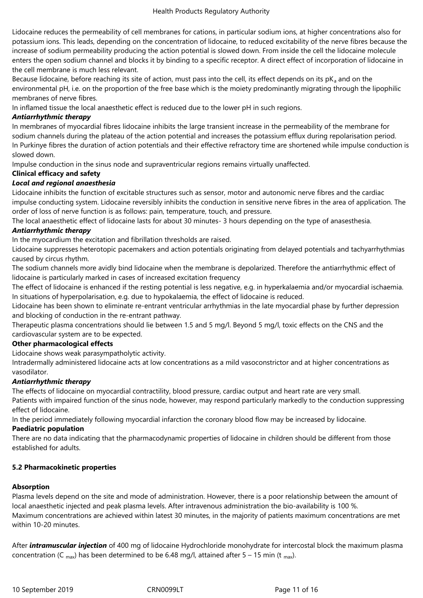Lidocaine reduces the permeability of cell membranes for cations, in particular sodium ions, at higher concentrations also for potassium ions. This leads, depending on the concentration of lidocaine, to reduced excitability of the nerve fibres because the increase of sodium permeability producing the action potential is slowed down. From inside the cell the lidocaine molecule enters the open sodium channel and blocks it by binding to a specific receptor. A direct effect of incorporation of lidocaine in the cell membrane is much less relevant.

Because lidocaine, before reaching its site of action, must pass into the cell, its effect depends on its  $pK_a$  and on the environmental pH, i.e. on the proportion of the free base which is the moiety predominantly migrating through the lipophilic membranes of nerve fibres.

In inflamed tissue the local anaesthetic effect is reduced due to the lower pH in such regions.

## *Antiarrhythmic therapy*

In membranes of myocardial fibres lidocaine inhibits the large transient increase in the permeability of the membrane for sodium channels during the plateau of the action potential and increases the potassium efflux during repolarisation period. In Purkinye fibres the duration of action potentials and their effective refractory time are shortened while impulse conduction is slowed down.

Impulse conduction in the sinus node and supraventricular regions remains virtually unaffected.

## **Clinical efficacy and safety**

## *Local and regional anaesthesia*

Lidocaine inhibits the function of excitable structures such as sensor, motor and autonomic nerve fibres and the cardiac impulse conducting system. Lidocaine reversibly inhibits the conduction in sensitive nerve fibres in the area of application. The order of loss of nerve function is as follows: pain, temperature, touch, and pressure.

The local anaesthetic effect of lidocaine lasts for about 30 minutes- 3 hours depending on the type of anasesthesia.

## *Antiarrhythmic therapy*

In the myocardium the excitation and fibrillation thresholds are raised.

Lidocaine suppresses heterotopic pacemakers and action potentials originating from delayed potentials and tachyarrhythmias caused by circus rhythm.

The sodium channels more avidly bind lidocaine when the membrane is depolarized. Therefore the antiarrhythmic effect of lidocaine is particularly marked in cases of increased excitation frequency

The effect of lidocaine is enhanced if the resting potential is less negative, e.g. in hyperkalaemia and/or myocardial ischaemia. In situations of hyperpolarisation, e.g. due to hypokalaemia, the effect of lidocaine is reduced.

Lidocaine has been shown to eliminate re-entrant ventricular arrhythmias in the late myocardial phase by further depression and blocking of conduction in the re-entrant pathway.

Therapeutic plasma concentrations should lie between 1.5 and 5 mg/l. Beyond 5 mg/l, toxic effects on the CNS and the cardiovascular system are to be expected.

## **Other pharmacological effects**

Lidocaine shows weak parasympatholytic activity.

Intradermally administered lidocaine acts at low concentrations as a mild vasoconstrictor and at higher concentrations as vasodilator.

## *Antiarrhythmic therapy*

The effects of lidocaine on myocardial contractility, blood pressure, cardiac output and heart rate are very small.

Patients with impaired function of the sinus node, however, may respond particularly markedly to the conduction suppressing effect of lidocaine.

In the period immediately following myocardial infarction the coronary blood flow may be increased by lidocaine.

## **Paediatric population**

There are no data indicating that the pharmacodynamic properties of lidocaine in children should be different from those established for adults.

#### **5.2 Pharmacokinetic properties**

## **Absorption**

Plasma levels depend on the site and mode of administration. However, there is a poor relationship between the amount of local anaesthetic injected and peak plasma levels. After intravenous administration the bio-availability is 100 %. Maximum concentrations are achieved within latest 30 minutes, in the majority of patients maximum concentrations are met within 10-20 minutes.

After *intramuscular injection* of 400 mg of lidocaine Hydrochloride monohydrate for intercostal block the maximum plasma concentration (C <sub>max</sub>) has been determined to be 6.48 mg/l, attained after 5 – 15 min (t <sub>max</sub>).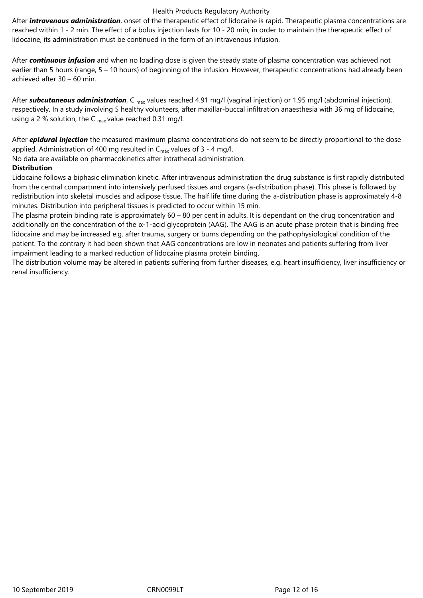After *intravenous administration*, onset of the therapeutic effect of lidocaine is rapid. Therapeutic plasma concentrations are reached within 1 ‑ 2 min. The effect of a bolus injection lasts for 10 ‑ 20 min; in order to maintain the therapeutic effect of lidocaine, its administration must be continued in the form of an intravenous infusion.

After *continuous infusion* and when no loading dose is given the steady state of plasma concentration was achieved not earlier than 5 hours (range, 5 – 10 hours) of beginning of the infusion. However, therapeutic concentrations had already been achieved after 30 – 60 min.

After **subcutaneous administration**, C <sub>max</sub> values reached 4.91 mg/l (vaginal injection) or 1.95 mg/l (abdominal injection), respectively. In a study involving 5 healthy volunteers, after maxillar-buccal infiltration anaesthesia with 36 mg of lidocaine, using a 2 % solution, the C  $_{max}$  value reached 0.31 mg/l.

After *epidural injection* the measured maximum plasma concentrations do not seem to be directly proportional to the dose applied. Administration of 400 mg resulted in  $C_{\text{max}}$  values of 3 - 4 mg/l.

No data are available on pharmacokinetics after intrathecal administration.

## **Distribution**

Lidocaine follows a biphasic elimination kinetic. After intravenous administration the drug substance is first rapidly distributed from the central compartment into intensively perfused tissues and organs (a-distribution phase). This phase is followed by redistribution into skeletal muscles and adipose tissue. The half life time during the a-distribution phase is approximately 4-8 minutes. Distribution into peripheral tissues is predicted to occur within 15 min.

The plasma protein binding rate is approximately 60 – 80 per cent in adults. It is dependant on the drug concentration and additionally on the concentration of the  $\alpha$ -1-acid glycoprotein (AAG). The AAG is an acute phase protein that is binding free lidocaine and may be increased e.g. after trauma, surgery or burns depending on the pathophysiological condition of the patient. To the contrary it had been shown that AAG concentrations are low in neonates and patients suffering from liver impairment leading to a marked reduction of lidocaine plasma protein binding.

The distribution volume may be altered in patients suffering from further diseases, e.g. heart insufficiency, liver insufficiency or renal insufficiency.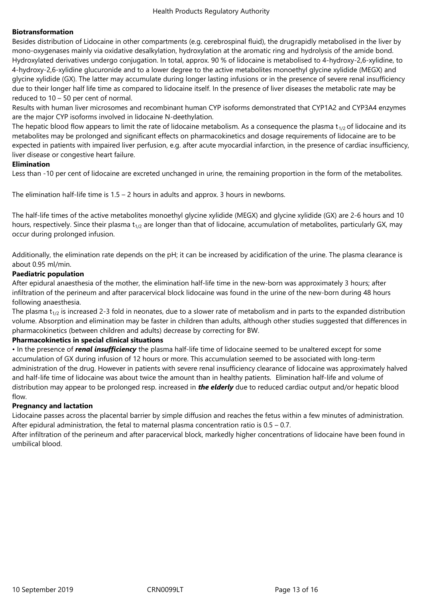## **Biotransformation**

Besides distribution of Lidocaine in other compartments (e.g. cerebrospinal fluid), the drugrapidly metabolised in the liver by mono-oxygenases mainly via oxidative desalkylation, hydroxylation at the aromatic ring and hydrolysis of the amide bond. Hydroxylated derivatives undergo conjugation. In total, approx. 90 % of lidocaine is metabolised to 4-hydroxy-2,6-xylidine, to 4-hydroxy-2,6-xylidine glucuronide and to a lower degree to the active metabolites monoethyl glycine xylidide (MEGX) and glycine xylidide (GX). The latter may accumulate during longer lasting infusions or in the presence of severe renal insufficiency due to their longer half life time as compared to lidocaine itself. In the presence of liver diseases the metabolic rate may be reduced to 10 – 50 per cent of normal.

Results with human liver microsomes and recombinant human CYP isoforms demonstrated that CYP1A2 and CYP3A4 enzymes are the major CYP isoforms involved in lidocaine N-deethylation.

The hepatic blood flow appears to limit the rate of lidocaine metabolism. As a consequence the plasma  $t_{1/2}$  of lidocaine and its metabolites may be prolonged and significant effects on pharmacokinetics and dosage requirements of lidocaine are to be expected in patients with impaired liver perfusion, e.g. after acute myocardial infarction, in the presence of cardiac insufficiency, liver disease or congestive heart failure.

## **Elimination**

Less than -10 per cent of lidocaine are excreted unchanged in urine, the remaining proportion in the form of the metabolites.

The elimination half-life time is  $1.5 - 2$  hours in adults and approx. 3 hours in newborns.

The half-life times of the active metabolites monoethyl glycine xylidide (MEGX) and glycine xylidide (GX) are 2-6 hours and 10 hours, respectively. Since their plasma  $t_{1/2}$  are longer than that of lidocaine, accumulation of metabolites, particularly GX, may occur during prolonged infusion.

Additionally, the elimination rate depends on the pH; it can be increased by acidification of the urine. The plasma clearance is about 0.95 ml/min.

## **Paediatric population**

After epidural anaesthesia of the mother, the elimination half-life time in the new-born was approximately 3 hours; after infiltration of the perineum and after paracervical block lidocaine was found in the urine of the new-born during 48 hours following anaesthesia.

The plasma  $t_{1/2}$  is increased 2-3 fold in neonates, due to a slower rate of metabolism and in parts to the expanded distribution volume. Absorption and elimination may be faster in children than adults, although other studies suggested that differences in pharmacokinetics (between children and adults) decrease by correcting for BW.

## **Pharmacokinetics in special clinical situations**

• In the presence of *renal insufficiency* the plasma half-life time of lidocaine seemed to be unaltered except for some accumulation of GX during infusion of 12 hours or more. This accumulation seemed to be associated with long-term administration of the drug. However in patients with severe renal insufficiency clearance of lidocaine was approximately halved and half-life time of lidocaine was about twice the amount than in healthy patients. Elimination half-life and volume of distribution may appear to be prolonged resp. increased in *the elderly* due to reduced cardiac output and/or hepatic blood flow.

## **Pregnancy and lactation**

Lidocaine passes across the placental barrier by simple diffusion and reaches the fetus within a few minutes of administration. After epidural administration, the fetal to maternal plasma concentration ratio is 0.5 – 0.7.

After infiltration of the perineum and after paracervical block, markedly higher concentrations of lidocaine have been found in umbilical blood.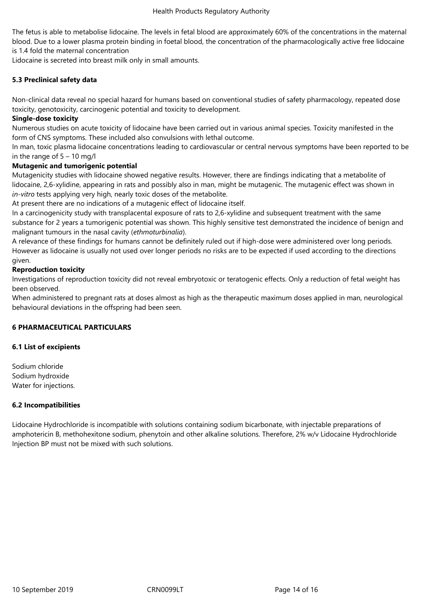The fetus is able to metabolise lidocaine. The levels in fetal blood are approximately 60% of the concentrations in the maternal blood. Due to a lower plasma protein binding in foetal blood, the concentration of the pharmacologically active free lidocaine is 1.4 fold the maternal concentration

Lidocaine is secreted into breast milk only in small amounts.

## **5.3 Preclinical safety data**

Non-clinical data reveal no special hazard for humans based on conventional studies of safety pharmacology, repeated dose toxicity, genotoxicity, carcinogenic potential and toxicity to development.

### **Single-dose toxicity**

Numerous studies on acute toxicity of lidocaine have been carried out in various animal species. Toxicity manifested in the form of CNS symptoms. These included also convulsions with lethal outcome.

In man, toxic plasma lidocaine concentrations leading to cardiovascular or central nervous symptoms have been reported to be in the range of  $5 - 10$  mg/l

## **Mutagenic and tumorigenic potential**

Mutagenicity studies with lidocaine showed negative results. However, there are findings indicating that a metabolite of lidocaine, 2,6-xylidine, appearing in rats and possibly also in man, might be mutagenic. The mutagenic effect was shown in *in-vitro* tests applying very high, nearly toxic doses of the metabolite.

At present there are no indications of a mutagenic effect of lidocaine itself.

In a carcinogenicity study with transplacental exposure of rats to 2,6-xylidine and subsequent treatment with the same substance for 2 years a tumorigenic potential was shown. This highly sensitive test demonstrated the incidence of benign and malignant tumours in the nasal cavity (*ethmoturbinalia*).

A relevance of these findings for humans cannot be definitely ruled out if high-dose were administered over long periods. However as lidocaine is usually not used over longer periods no risks are to be expected if used according to the directions given.

## **Reproduction toxicity**

Investigations of reproduction toxicity did not reveal embryotoxic or teratogenic effects. Only a reduction of fetal weight has been observed.

When administered to pregnant rats at doses almost as high as the therapeutic maximum doses applied in man, neurological behavioural deviations in the offspring had been seen.

#### **6 PHARMACEUTICAL PARTICULARS**

#### **6.1 List of excipients**

Sodium chloride Sodium hydroxide Water for injections.

#### **6.2 Incompatibilities**

Lidocaine Hydrochloride is incompatible with solutions containing sodium bicarbonate, with injectable preparations of amphotericin B, methohexitone sodium, phenytoin and other alkaline solutions. Therefore, 2% w/v Lidocaine Hydrochloride Injection BP must not be mixed with such solutions.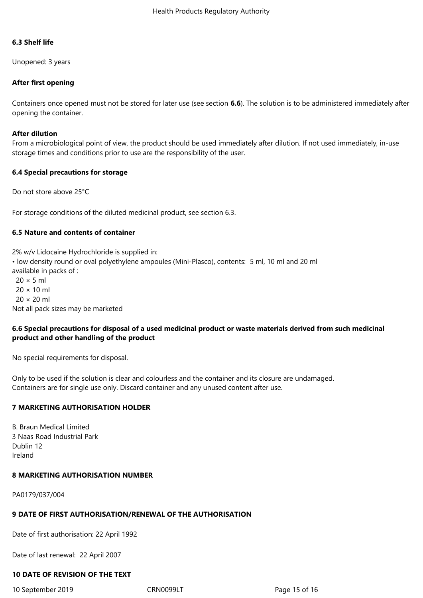#### **6.3 Shelf life**

Unopened: 3 years

## **After first opening**

Containers once opened must not be stored for later use (see section **6.6**). The solution is to be administered immediately after opening the container.

#### **After dilution**

From a microbiological point of view, the product should be used immediately after dilution. If not used immediately, in-use storage times and conditions prior to use are the responsibility of the user.

#### **6.4 Special precautions for storage**

Do not store above 25°C

For storage conditions of the diluted medicinal product, see section 6.3.

## **6.5 Nature and contents of container**

2% w/v Lidocaine Hydrochloride is supplied in: • low density round or oval polyethylene ampoules (Mini-Plasco), contents: 5 ml, 10 ml and 20 ml available in packs of :  $20 \times 5$  ml  $20 \times 10$  ml  $20 \times 20$  ml Not all pack sizes may be marketed

## **6.6 Special precautions for disposal of a used medicinal product or waste materials derived from such medicinal product and other handling of the product**

No special requirements for disposal.

Only to be used if the solution is clear and colourless and the container and its closure are undamaged. Containers are for single use only. Discard container and any unused content after use.

## **7 MARKETING AUTHORISATION HOLDER**

B. Braun Medical Limited 3 Naas Road Industrial Park Dublin 12 Ireland

#### **8 MARKETING AUTHORISATION NUMBER**

PA0179/037/004

#### **9 DATE OF FIRST AUTHORISATION/RENEWAL OF THE AUTHORISATION**

Date of first authorisation: 22 April 1992

Date of last renewal: 22 April 2007

#### **10 DATE OF REVISION OF THE TEXT**

10 September 2019 CRN0099LT Page 15 of 16